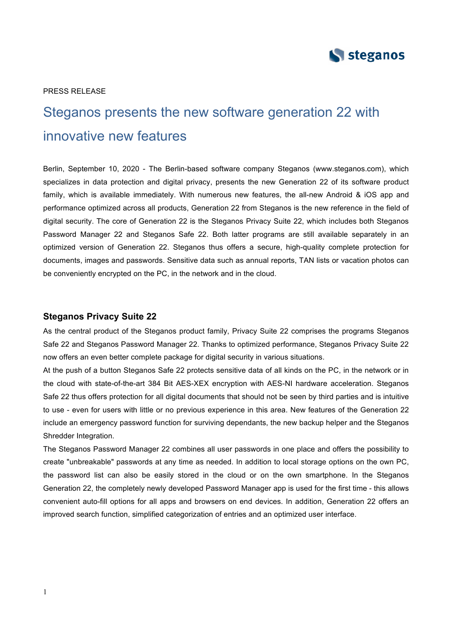

#### PRESS RELEASE

# Steganos presents the new software generation 22 with innovative new features

Berlin, September 10, 2020 - The Berlin-based software company Steganos (www.steganos.com), which specializes in data protection and digital privacy, presents the new Generation 22 of its software product family, which is available immediately. With numerous new features, the all-new Android & iOS app and performance optimized across all products, Generation 22 from Steganos is the new reference in the field of digital security. The core of Generation 22 is the Steganos Privacy Suite 22, which includes both Steganos Password Manager 22 and Steganos Safe 22. Both latter programs are still available separately in an optimized version of Generation 22. Steganos thus offers a secure, high-quality complete protection for documents, images and passwords. Sensitive data such as annual reports, TAN lists or vacation photos can be conveniently encrypted on the PC, in the network and in the cloud.

#### **Steganos Privacy Suite 22**

As the central product of the Steganos product family, Privacy Suite 22 comprises the programs Steganos Safe 22 and Steganos Password Manager 22. Thanks to optimized performance, Steganos Privacy Suite 22 now offers an even better complete package for digital security in various situations.

At the push of a button Steganos Safe 22 protects sensitive data of all kinds on the PC, in the network or in the cloud with state-of-the-art 384 Bit AES-XEX encryption with AES-NI hardware acceleration. Steganos Safe 22 thus offers protection for all digital documents that should not be seen by third parties and is intuitive to use - even for users with little or no previous experience in this area. New features of the Generation 22 include an emergency password function for surviving dependants, the new backup helper and the Steganos Shredder Integration.

The Steganos Password Manager 22 combines all user passwords in one place and offers the possibility to create "unbreakable" passwords at any time as needed. In addition to local storage options on the own PC, the password list can also be easily stored in the cloud or on the own smartphone. In the Steganos Generation 22, the completely newly developed Password Manager app is used for the first time - this allows convenient auto-fill options for all apps and browsers on end devices. In addition, Generation 22 offers an improved search function, simplified categorization of entries and an optimized user interface.